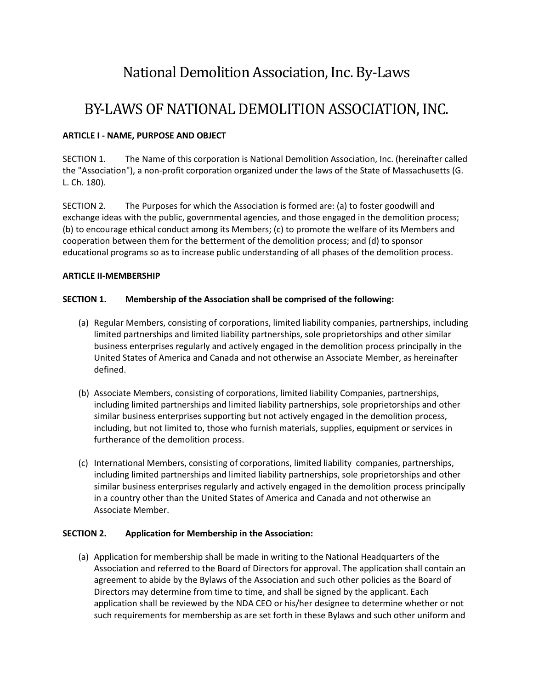# National Demolition Association, Inc. By-Laws

## BY-LAWS OF NATIONAL DEMOLITION ASSOCIATION, INC.

## **ARTICLE I - NAME, PURPOSE AND OBJECT**

SECTION 1. The Name of this corporation is National Demolition Association, Inc. (hereinafter called the "Association"), a non-profit corporation organized under the laws of the State of Massachusetts (G. L. Ch. 180).

SECTION 2. The Purposes for which the Association is formed are: (a) to foster goodwill and exchange ideas with the public, governmental agencies, and those engaged in the demolition process; (b) to encourage ethical conduct among its Members; (c) to promote the welfare of its Members and cooperation between them for the betterment of the demolition process; and (d) to sponsor educational programs so as to increase public understanding of all phases of the demolition process.

#### **ARTICLE II-MEMBERSHIP**

## **SECTION 1. Membership of the Association shall be comprised of the following:**

- (a) Regular Members, consisting of corporations, limited liability companies, partnerships, including limited partnerships and limited liability partnerships, sole proprietorships and other similar business enterprises regularly and actively engaged in the demolition process principally in the United States of America and Canada and not otherwise an Associate Member, as hereinafter defined.
- (b) Associate Members, consisting of corporations, limited liability Companies, partnerships, including limited partnerships and limited liability partnerships, sole proprietorships and other similar business enterprises supporting but not actively engaged in the demolition process, including, but not limited to, those who furnish materials, supplies, equipment or services in furtherance of the demolition process.
- (c) International Members, consisting of corporations, limited liability companies, partnerships, including limited partnerships and limited liability partnerships, sole proprietorships and other similar business enterprises regularly and actively engaged in the demolition process principally in a country other than the United States of America and Canada and not otherwise an Associate Member.

#### **SECTION 2. Application for Membership in the Association:**

(a) Application for membership shall be made in writing to the National Headquarters of the Association and referred to the Board of Directors for approval. The application shall contain an agreement to abide by the Bylaws of the Association and such other policies as the Board of Directors may determine from time to time, and shall be signed by the applicant. Each application shall be reviewed by the NDA CEO or his/her designee to determine whether or not such requirements for membership as are set forth in these Bylaws and such other uniform and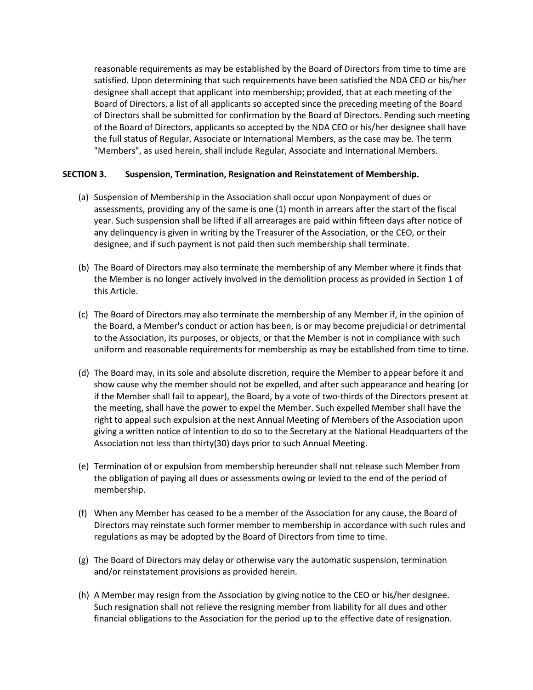reasonable requirements as may be established by the Board of Directors from time to time are satisfied. Upon determining that such requirements have been satisfied the NDA CEO or his/her designee shall accept that applicant into membership; provided, that at each meeting of the Board of Directors, a list of all applicants so accepted since the preceding meeting of the Board of Directors shall be submitted for confirmation by the Board of Directors. Pending such meeting of the Board of Directors, applicants so accepted by the NDA CEO or his/her designee shall have the full status of Regular, Associate or International Members, as the case may be. The term "Members", as used herein, shall include Regular, Associate and International Members.

#### **SECTION 3. Suspension, Termination, Resignation and Reinstatement of Membership.**

- (a) Suspension of Membership in the Association shall occur upon Nonpayment of dues or assessments, providing any of the same is one (1) month in arrears after the start of the fiscal year. Such suspension shall be lifted if all arrearages are paid within fifteen days after notice of any delinquency is given in writing by the Treasurer of the Association, or the CEO, or their designee, and if such payment is not paid then such membership shall terminate.
- (b) The Board of Directors may also terminate the membership of any Member where it finds that the Member is no longer actively involved in the demolition process as provided in Section 1 of this Article.
- (c) The Board of Directors may also terminate the membership of any Member if, in the opinion of the Board, a Member's conduct or action has been, is or may become prejudicial or detrimental to the Association, its purposes, or objects, or that the Member is not in compliance with such uniform and reasonable requirements for membership as may be established from time to time.
- (d) The Board may, in its sole and absolute discretion, require the Member to appear before it and show cause why the member should not be expelled, and after such appearance and hearing (or if the Member shall fail to appear), the Board, by a vote of two-thirds of the Directors present at the meeting, shall have the power to expel the Member. Such expelled Member shall have the right to appeal such expulsion at the next Annual Meeting of Members of the Association upon giving a written notice of intention to do so to the Secretary at the National Headquarters of the Association not less than thirty(30) days prior to such Annual Meeting.
- (e) Termination of or expulsion from membership hereunder shall not release such Member from the obligation of paying all dues or assessments owing or levied to the end of the period of membership.
- (f) When any Member has ceased to be a member of the Association for any cause, the Board of Directors may reinstate such former member to membership in accordance with such rules and regulations as may be adopted by the Board of Directors from time to time.
- (g) The Board of Directors may delay or otherwise vary the automatic suspension, termination and/or reinstatement provisions as provided herein.
- (h) A Member may resign from the Association by giving notice to the CEO or his/her designee. Such resignation shall not relieve the resigning member from liability for all dues and other financial obligations to the Association for the period up to the effective date of resignation.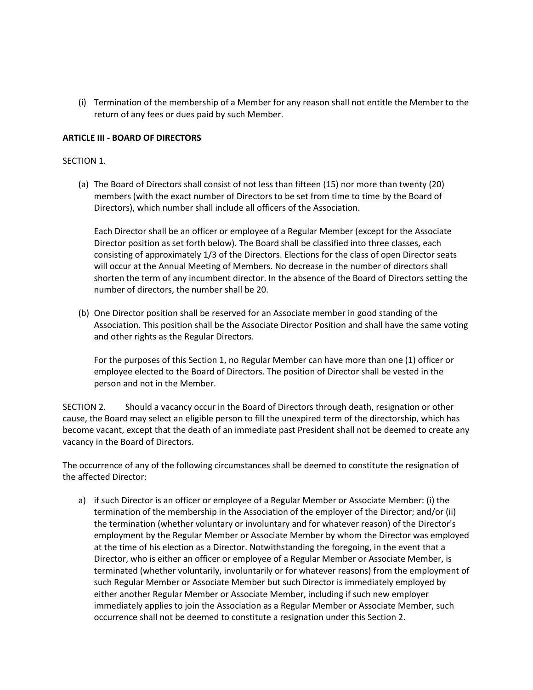(i) Termination of the membership of a Member for any reason shall not entitle the Member to the return of any fees or dues paid by such Member.

#### **ARTICLE III - BOARD OF DIRECTORS**

#### SECTION 1.

(a) The Board of Directors shall consist of not less than fifteen (15) nor more than twenty (20) members (with the exact number of Directors to be set from time to time by the Board of Directors), which number shall include all officers of the Association.

Each Director shall be an officer or employee of a Regular Member (except for the Associate Director position as set forth below). The Board shall be classified into three classes, each consisting of approximately 1/3 of the Directors. Elections for the class of open Director seats will occur at the Annual Meeting of Members. No decrease in the number of directors shall shorten the term of any incumbent director. In the absence of the Board of Directors setting the number of directors, the number shall be 20.

(b) One Director position shall be reserved for an Associate member in good standing of the Association. This position shall be the Associate Director Position and shall have the same voting and other rights as the Regular Directors.

For the purposes of this Section 1, no Regular Member can have more than one (1) officer or employee elected to the Board of Directors. The position of Director shall be vested in the person and not in the Member.

SECTION 2. Should a vacancy occur in the Board of Directors through death, resignation or other cause, the Board may select an eligible person to fill the unexpired term of the directorship, which has become vacant, except that the death of an immediate past President shall not be deemed to create any vacancy in the Board of Directors.

The occurrence of any of the following circumstances shall be deemed to constitute the resignation of the affected Director:

a) if such Director is an officer or employee of a Regular Member or Associate Member: (i) the termination of the membership in the Association of the employer of the Director; and/or (ii) the termination (whether voluntary or involuntary and for whatever reason) of the Director's employment by the Regular Member or Associate Member by whom the Director was employed at the time of his election as a Director. Notwithstanding the foregoing, in the event that a Director, who is either an officer or employee of a Regular Member or Associate Member, is terminated (whether voluntarily, involuntarily or for whatever reasons) from the employment of such Regular Member or Associate Member but such Director is immediately employed by either another Regular Member or Associate Member, including if such new employer immediately applies to join the Association as a Regular Member or Associate Member, such occurrence shall not be deemed to constitute a resignation under this Section 2.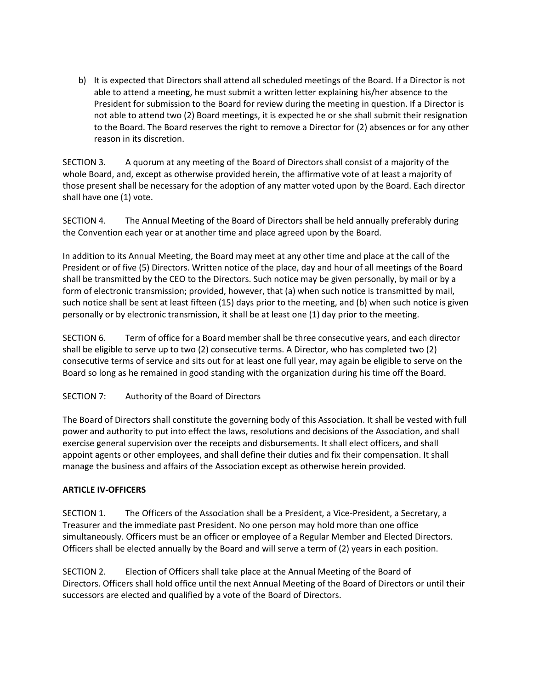b) It is expected that Directors shall attend all scheduled meetings of the Board. If a Director is not able to attend a meeting, he must submit a written letter explaining his/her absence to the President for submission to the Board for review during the meeting in question. If a Director is not able to attend two (2) Board meetings, it is expected he or she shall submit their resignation to the Board. The Board reserves the right to remove a Director for (2) absences or for any other reason in its discretion.

SECTION 3. A quorum at any meeting of the Board of Directors shall consist of a majority of the whole Board, and, except as otherwise provided herein, the affirmative vote of at least a majority of those present shall be necessary for the adoption of any matter voted upon by the Board. Each director shall have one (1) vote.

SECTION 4. The Annual Meeting of the Board of Directors shall be held annually preferably during the Convention each year or at another time and place agreed upon by the Board.

In addition to its Annual Meeting, the Board may meet at any other time and place at the call of the President or of five (5) Directors. Written notice of the place, day and hour of all meetings of the Board shall be transmitted by the CEO to the Directors. Such notice may be given personally, by mail or by a form of electronic transmission; provided, however, that (a) when such notice is transmitted by mail, such notice shall be sent at least fifteen (15) days prior to the meeting, and (b) when such notice is given personally or by electronic transmission, it shall be at least one (1) day prior to the meeting.

SECTION 6. Term of office for a Board member shall be three consecutive years, and each director shall be eligible to serve up to two (2) consecutive terms. A Director, who has completed two (2) consecutive terms of service and sits out for at least one full year, may again be eligible to serve on the Board so long as he remained in good standing with the organization during his time off the Board.

## SECTION 7: Authority of the Board of Directors

The Board of Directors shall constitute the governing body of this Association. It shall be vested with full power and authority to put into effect the laws, resolutions and decisions of the Association, and shall exercise general supervision over the receipts and disbursements. It shall elect officers, and shall appoint agents or other employees, and shall define their duties and fix their compensation. It shall manage the business and affairs of the Association except as otherwise herein provided.

## **ARTICLE IV-OFFICERS**

SECTION 1. The Officers of the Association shall be a President, a Vice-President, a Secretary, a Treasurer and the immediate past President. No one person may hold more than one office simultaneously. Officers must be an officer or employee of a Regular Member and Elected Directors. Officers shall be elected annually by the Board and will serve a term of (2) years in each position.

SECTION 2. Election of Officers shall take place at the Annual Meeting of the Board of Directors. Officers shall hold office until the next Annual Meeting of the Board of Directors or until their successors are elected and qualified by a vote of the Board of Directors.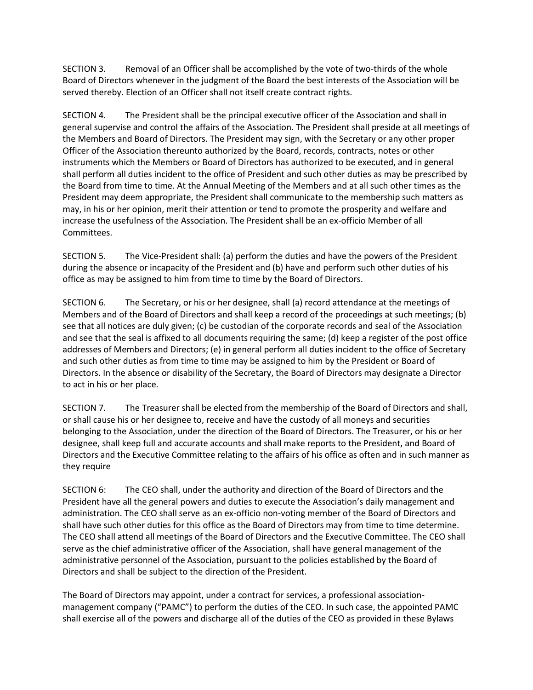SECTION 3. Removal of an Officer shall be accomplished by the vote of two-thirds of the whole Board of Directors whenever in the judgment of the Board the best interests of the Association will be served thereby. Election of an Officer shall not itself create contract rights.

SECTION 4. The President shall be the principal executive officer of the Association and shall in general supervise and control the affairs of the Association. The President shall preside at all meetings of the Members and Board of Directors. The President may sign, with the Secretary or any other proper Officer of the Association thereunto authorized by the Board, records, contracts, notes or other instruments which the Members or Board of Directors has authorized to be executed, and in general shall perform all duties incident to the office of President and such other duties as may be prescribed by the Board from time to time. At the Annual Meeting of the Members and at all such other times as the President may deem appropriate, the President shall communicate to the membership such matters as may, in his or her opinion, merit their attention or tend to promote the prosperity and welfare and increase the usefulness of the Association. The President shall be an ex-officio Member of all Committees.

SECTION 5. The Vice-President shall: (a) perform the duties and have the powers of the President during the absence or incapacity of the President and (b) have and perform such other duties of his office as may be assigned to him from time to time by the Board of Directors.

SECTION 6. The Secretary, or his or her designee, shall (a) record attendance at the meetings of Members and of the Board of Directors and shall keep a record of the proceedings at such meetings; (b) see that all notices are duly given; (c) be custodian of the corporate records and seal of the Association and see that the seal is affixed to all documents requiring the same; (d) keep a register of the post office addresses of Members and Directors; (e) in general perform all duties incident to the office of Secretary and such other duties as from time to time may be assigned to him by the President or Board of Directors. In the absence or disability of the Secretary, the Board of Directors may designate a Director to act in his or her place.

SECTION 7. The Treasurer shall be elected from the membership of the Board of Directors and shall, or shall cause his or her designee to, receive and have the custody of all moneys and securities belonging to the Association, under the direction of the Board of Directors. The Treasurer, or his or her designee, shall keep full and accurate accounts and shall make reports to the President, and Board of Directors and the Executive Committee relating to the affairs of his office as often and in such manner as they require

SECTION 6: The CEO shall, under the authority and direction of the Board of Directors and the President have all the general powers and duties to execute the Association's daily management and administration. The CEO shall serve as an ex-officio non-voting member of the Board of Directors and shall have such other duties for this office as the Board of Directors may from time to time determine. The CEO shall attend all meetings of the Board of Directors and the Executive Committee. The CEO shall serve as the chief administrative officer of the Association, shall have general management of the administrative personnel of the Association, pursuant to the policies established by the Board of Directors and shall be subject to the direction of the President.

The Board of Directors may appoint, under a contract for services, a professional associationmanagement company ("PAMC") to perform the duties of the CEO. In such case, the appointed PAMC shall exercise all of the powers and discharge all of the duties of the CEO as provided in these Bylaws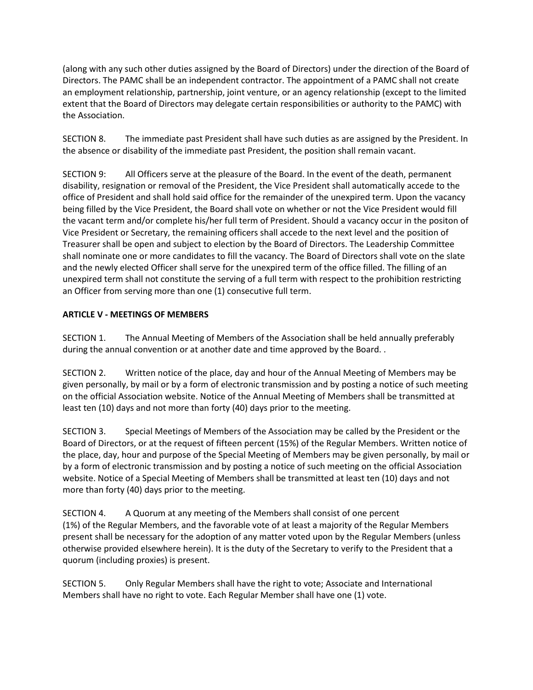(along with any such other duties assigned by the Board of Directors) under the direction of the Board of Directors. The PAMC shall be an independent contractor. The appointment of a PAMC shall not create an employment relationship, partnership, joint venture, or an agency relationship (except to the limited extent that the Board of Directors may delegate certain responsibilities or authority to the PAMC) with the Association.

SECTION 8. The immediate past President shall have such duties as are assigned by the President. In the absence or disability of the immediate past President, the position shall remain vacant.

SECTION 9: All Officers serve at the pleasure of the Board. In the event of the death, permanent disability, resignation or removal of the President, the Vice President shall automatically accede to the office of President and shall hold said office for the remainder of the unexpired term. Upon the vacancy being filled by the Vice President, the Board shall vote on whether or not the Vice President would fill the vacant term and/or complete his/her full term of President. Should a vacancy occur in the positon of Vice President or Secretary, the remaining officers shall accede to the next level and the position of Treasurer shall be open and subject to election by the Board of Directors. The Leadership Committee shall nominate one or more candidates to fill the vacancy. The Board of Directors shall vote on the slate and the newly elected Officer shall serve for the unexpired term of the office filled. The filling of an unexpired term shall not constitute the serving of a full term with respect to the prohibition restricting an Officer from serving more than one (1) consecutive full term.

## **ARTICLE V - MEETINGS OF MEMBERS**

SECTION 1. The Annual Meeting of Members of the Association shall be held annually preferably during the annual convention or at another date and time approved by the Board. .

SECTION 2. Written notice of the place, day and hour of the Annual Meeting of Members may be given personally, by mail or by a form of electronic transmission and by posting a notice of such meeting on the official Association website. Notice of the Annual Meeting of Members shall be transmitted at least ten (10) days and not more than forty (40) days prior to the meeting.

SECTION 3. Special Meetings of Members of the Association may be called by the President or the Board of Directors, or at the request of fifteen percent (15%) of the Regular Members. Written notice of the place, day, hour and purpose of the Special Meeting of Members may be given personally, by mail or by a form of electronic transmission and by posting a notice of such meeting on the official Association website. Notice of a Special Meeting of Members shall be transmitted at least ten (10) days and not more than forty (40) days prior to the meeting.

SECTION 4. A Quorum at any meeting of the Members shall consist of one percent (1%) of the Regular Members, and the favorable vote of at least a majority of the Regular Members present shall be necessary for the adoption of any matter voted upon by the Regular Members (unless otherwise provided elsewhere herein). It is the duty of the Secretary to verify to the President that a quorum (including proxies) is present.

SECTION 5. Only Regular Members shall have the right to vote; Associate and International Members shall have no right to vote. Each Regular Member shall have one (1) vote.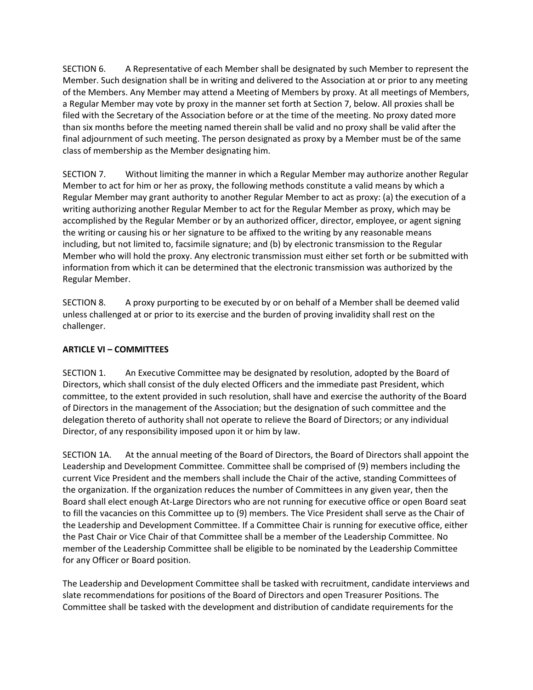SECTION 6. A Representative of each Member shall be designated by such Member to represent the Member. Such designation shall be in writing and delivered to the Association at or prior to any meeting of the Members. Any Member may attend a Meeting of Members by proxy. At all meetings of Members, a Regular Member may vote by proxy in the manner set forth at Section 7, below. All proxies shall be filed with the Secretary of the Association before or at the time of the meeting. No proxy dated more than six months before the meeting named therein shall be valid and no proxy shall be valid after the final adjournment of such meeting. The person designated as proxy by a Member must be of the same class of membership as the Member designating him.

SECTION 7. Without limiting the manner in which a Regular Member may authorize another Regular Member to act for him or her as proxy, the following methods constitute a valid means by which a Regular Member may grant authority to another Regular Member to act as proxy: (a) the execution of a writing authorizing another Regular Member to act for the Regular Member as proxy, which may be accomplished by the Regular Member or by an authorized officer, director, employee, or agent signing the writing or causing his or her signature to be affixed to the writing by any reasonable means including, but not limited to, facsimile signature; and (b) by electronic transmission to the Regular Member who will hold the proxy. Any electronic transmission must either set forth or be submitted with information from which it can be determined that the electronic transmission was authorized by the Regular Member.

SECTION 8. A proxy purporting to be executed by or on behalf of a Member shall be deemed valid unless challenged at or prior to its exercise and the burden of proving invalidity shall rest on the challenger.

## **ARTICLE VI – COMMITTEES**

SECTION 1. An Executive Committee may be designated by resolution, adopted by the Board of Directors, which shall consist of the duly elected Officers and the immediate past President, which committee, to the extent provided in such resolution, shall have and exercise the authority of the Board of Directors in the management of the Association; but the designation of such committee and the delegation thereto of authority shall not operate to relieve the Board of Directors; or any individual Director, of any responsibility imposed upon it or him by law.

SECTION 1A. At the annual meeting of the Board of Directors, the Board of Directors shall appoint the Leadership and Development Committee. Committee shall be comprised of (9) members including the current Vice President and the members shall include the Chair of the active, standing Committees of the organization. If the organization reduces the number of Committees in any given year, then the Board shall elect enough At-Large Directors who are not running for executive office or open Board seat to fill the vacancies on this Committee up to (9) members. The Vice President shall serve as the Chair of the Leadership and Development Committee. If a Committee Chair is running for executive office, either the Past Chair or Vice Chair of that Committee shall be a member of the Leadership Committee. No member of the Leadership Committee shall be eligible to be nominated by the Leadership Committee for any Officer or Board position.

The Leadership and Development Committee shall be tasked with recruitment, candidate interviews and slate recommendations for positions of the Board of Directors and open Treasurer Positions. The Committee shall be tasked with the development and distribution of candidate requirements for the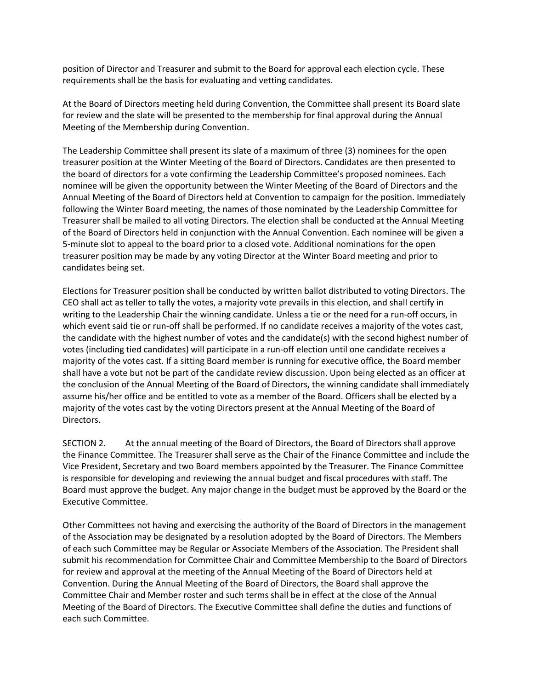position of Director and Treasurer and submit to the Board for approval each election cycle. These requirements shall be the basis for evaluating and vetting candidates.

At the Board of Directors meeting held during Convention, the Committee shall present its Board slate for review and the slate will be presented to the membership for final approval during the Annual Meeting of the Membership during Convention.

The Leadership Committee shall present its slate of a maximum of three (3) nominees for the open treasurer position at the Winter Meeting of the Board of Directors. Candidates are then presented to the board of directors for a vote confirming the Leadership Committee's proposed nominees. Each nominee will be given the opportunity between the Winter Meeting of the Board of Directors and the Annual Meeting of the Board of Directors held at Convention to campaign for the position. Immediately following the Winter Board meeting, the names of those nominated by the Leadership Committee for Treasurer shall be mailed to all voting Directors. The election shall be conducted at the Annual Meeting of the Board of Directors held in conjunction with the Annual Convention. Each nominee will be given a 5-minute slot to appeal to the board prior to a closed vote. Additional nominations for the open treasurer position may be made by any voting Director at the Winter Board meeting and prior to candidates being set.

Elections for Treasurer position shall be conducted by written ballot distributed to voting Directors. The CEO shall act as teller to tally the votes, a majority vote prevails in this election, and shall certify in writing to the Leadership Chair the winning candidate. Unless a tie or the need for a run-off occurs, in which event said tie or run-off shall be performed. If no candidate receives a majority of the votes cast, the candidate with the highest number of votes and the candidate(s) with the second highest number of votes (including tied candidates) will participate in a run-off election until one candidate receives a majority of the votes cast. If a sitting Board member is running for executive office, the Board member shall have a vote but not be part of the candidate review discussion. Upon being elected as an officer at the conclusion of the Annual Meeting of the Board of Directors, the winning candidate shall immediately assume his/her office and be entitled to vote as a member of the Board. Officers shall be elected by a majority of the votes cast by the voting Directors present at the Annual Meeting of the Board of Directors.

SECTION 2. At the annual meeting of the Board of Directors, the Board of Directors shall approve the Finance Committee. The Treasurer shall serve as the Chair of the Finance Committee and include the Vice President, Secretary and two Board members appointed by the Treasurer. The Finance Committee is responsible for developing and reviewing the annual budget and fiscal procedures with staff. The Board must approve the budget. Any major change in the budget must be approved by the Board or the Executive Committee.

Other Committees not having and exercising the authority of the Board of Directors in the management of the Association may be designated by a resolution adopted by the Board of Directors. The Members of each such Committee may be Regular or Associate Members of the Association. The President shall submit his recommendation for Committee Chair and Committee Membership to the Board of Directors for review and approval at the meeting of the Annual Meeting of the Board of Directors held at Convention. During the Annual Meeting of the Board of Directors, the Board shall approve the Committee Chair and Member roster and such terms shall be in effect at the close of the Annual Meeting of the Board of Directors. The Executive Committee shall define the duties and functions of each such Committee.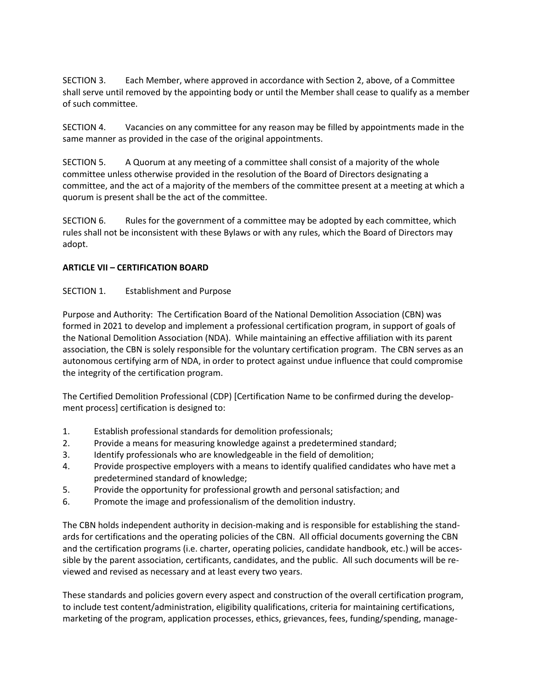SECTION 3. Each Member, where approved in accordance with Section 2, above, of a Committee shall serve until removed by the appointing body or until the Member shall cease to qualify as a member of such committee.

SECTION 4. Vacancies on any committee for any reason may be filled by appointments made in the same manner as provided in the case of the original appointments.

SECTION 5. A Quorum at any meeting of a committee shall consist of a majority of the whole committee unless otherwise provided in the resolution of the Board of Directors designating a committee, and the act of a majority of the members of the committee present at a meeting at which a quorum is present shall be the act of the committee.

SECTION 6. Rules for the government of a committee may be adopted by each committee, which rules shall not be inconsistent with these Bylaws or with any rules, which the Board of Directors may adopt.

#### **ARTICLE VII – CERTIFICATION BOARD**

#### SECTION 1. Establishment and Purpose

Purpose and Authority: The Certification Board of the National Demolition Association (CBN) was formed in 2021 to develop and implement a professional certification program, in support of goals of the National Demolition Association (NDA). While maintaining an effective affiliation with its parent association, the CBN is solely responsible for the voluntary certification program. The CBN serves as an autonomous certifying arm of NDA, in order to protect against undue influence that could compromise the integrity of the certification program.

The Certified Demolition Professional (CDP) [Certification Name to be confirmed during the development process] certification is designed to:

- 1. Establish professional standards for demolition professionals;
- 2. Provide a means for measuring knowledge against a predetermined standard;
- 3. Identify professionals who are knowledgeable in the field of demolition;
- 4. Provide prospective employers with a means to identify qualified candidates who have met a predetermined standard of knowledge;
- 5. Provide the opportunity for professional growth and personal satisfaction; and
- 6. Promote the image and professionalism of the demolition industry.

The CBN holds independent authority in decision-making and is responsible for establishing the standards for certifications and the operating policies of the CBN. All official documents governing the CBN and the certification programs (i.e. charter, operating policies, candidate handbook, etc.) will be accessible by the parent association, certificants, candidates, and the public. All such documents will be reviewed and revised as necessary and at least every two years.

These standards and policies govern every aspect and construction of the overall certification program, to include test content/administration, eligibility qualifications, criteria for maintaining certifications, marketing of the program, application processes, ethics, grievances, fees, funding/spending, manage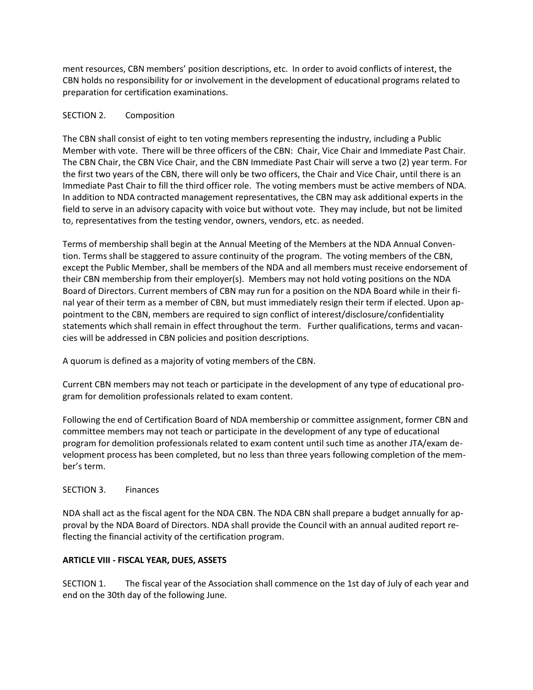ment resources, CBN members' position descriptions, etc. In order to avoid conflicts of interest, the CBN holds no responsibility for or involvement in the development of educational programs related to preparation for certification examinations.

#### SECTION 2. Composition

The CBN shall consist of eight to ten voting members representing the industry, including a Public Member with vote. There will be three officers of the CBN: Chair, Vice Chair and Immediate Past Chair. The CBN Chair, the CBN Vice Chair, and the CBN Immediate Past Chair will serve a two (2) year term. For the first two years of the CBN, there will only be two officers, the Chair and Vice Chair, until there is an Immediate Past Chair to fill the third officer role. The voting members must be active members of NDA. In addition to NDA contracted management representatives, the CBN may ask additional experts in the field to serve in an advisory capacity with voice but without vote. They may include, but not be limited to, representatives from the testing vendor, owners, vendors, etc. as needed.

Terms of membership shall begin at the Annual Meeting of the Members at the NDA Annual Convention. Terms shall be staggered to assure continuity of the program. The voting members of the CBN, except the Public Member, shall be members of the NDA and all members must receive endorsement of their CBN membership from their employer(s). Members may not hold voting positions on the NDA Board of Directors. Current members of CBN may run for a position on the NDA Board while in their final year of their term as a member of CBN, but must immediately resign their term if elected. Upon appointment to the CBN, members are required to sign conflict of interest/disclosure/confidentiality statements which shall remain in effect throughout the term. Further qualifications, terms and vacancies will be addressed in CBN policies and position descriptions.

A quorum is defined as a majority of voting members of the CBN.

Current CBN members may not teach or participate in the development of any type of educational program for demolition professionals related to exam content.

Following the end of Certification Board of NDA membership or committee assignment, former CBN and committee members may not teach or participate in the development of any type of educational program for demolition professionals related to exam content until such time as another JTA/exam development process has been completed, but no less than three years following completion of the member's term.

## SECTION 3. Finances

NDA shall act as the fiscal agent for the NDA CBN. The NDA CBN shall prepare a budget annually for approval by the NDA Board of Directors. NDA shall provide the Council with an annual audited report reflecting the financial activity of the certification program.

#### **ARTICLE VIII - FISCAL YEAR, DUES, ASSETS**

SECTION 1. The fiscal year of the Association shall commence on the 1st day of July of each year and end on the 30th day of the following June.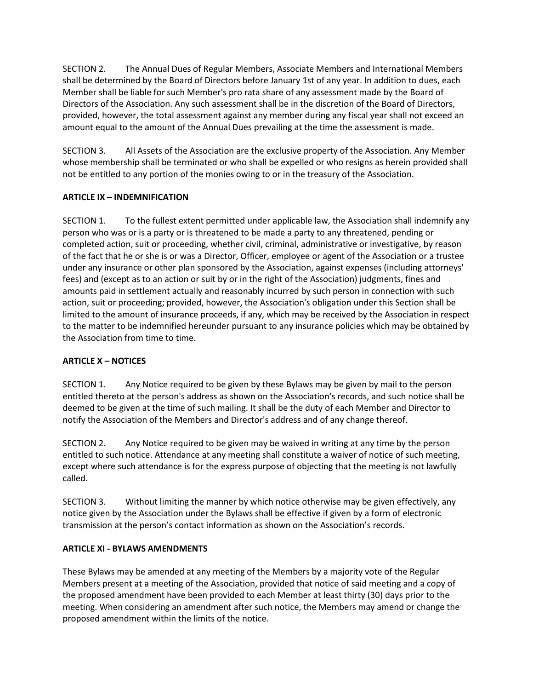SECTION 2. The Annual Dues of Regular Members, Associate Members and International Members shall be determined by the Board of Directors before January 1st of any year. In addition to dues, each Member shall be liable for such Member's pro rata share of any assessment made by the Board of Directors of the Association. Any such assessment shall be in the discretion of the Board of Directors, provided, however, the total assessment against any member during any fiscal year shall not exceed an amount equal to the amount of the Annual Dues prevailing at the time the assessment is made.

SECTION 3. All Assets of the Association are the exclusive property of the Association. Any Member whose membership shall be terminated or who shall be expelled or who resigns as herein provided shall not be entitled to any portion of the monies owing to or in the treasury of the Association.

## **ARTICLE IX – INDEMNIFICATION**

SECTION 1. To the fullest extent permitted under applicable law, the Association shall indemnify any person who was or is a party or is threatened to be made a party to any threatened, pending or completed action, suit or proceeding, whether civil, criminal, administrative or investigative, by reason of the fact that he or she is or was a Director, Officer, employee or agent of the Association or a trustee under any insurance or other plan sponsored by the Association, against expenses (including attorneys' fees) and (except as to an action or suit by or in the right of the Association) judgments, fines and amounts paid in settlement actually and reasonably incurred by such person in connection with such action, suit or proceeding; provided, however, the Association's obligation under this Section shall be limited to the amount of insurance proceeds, if any, which may be received by the Association in respect to the matter to be indemnified hereunder pursuant to any insurance policies which may be obtained by the Association from time to time.

## **ARTICLE X – NOTICES**

SECTION 1. Any Notice required to be given by these Bylaws may be given by mail to the person entitled thereto at the person's address as shown on the Association's records, and such notice shall be deemed to be given at the time of such mailing. It shall be the duty of each Member and Director to notify the Association of the Members and Director's address and of any change thereof.

SECTION 2. Any Notice required to be given may be waived in writing at any time by the person entitled to such notice. Attendance at any meeting shall constitute a waiver of notice of such meeting, except where such attendance is for the express purpose of objecting that the meeting is not lawfully called.

SECTION 3. Without limiting the manner by which notice otherwise may be given effectively, any notice given by the Association under the Bylaws shall be effective if given by a form of electronic transmission at the person's contact information as shown on the Association's records.

## **ARTICLE XI - BYLAWS AMENDMENTS**

These Bylaws may be amended at any meeting of the Members by a majority vote of the Regular Members present at a meeting of the Association, provided that notice of said meeting and a copy of the proposed amendment have been provided to each Member at least thirty (30) days prior to the meeting. When considering an amendment after such notice, the Members may amend or change the proposed amendment within the limits of the notice.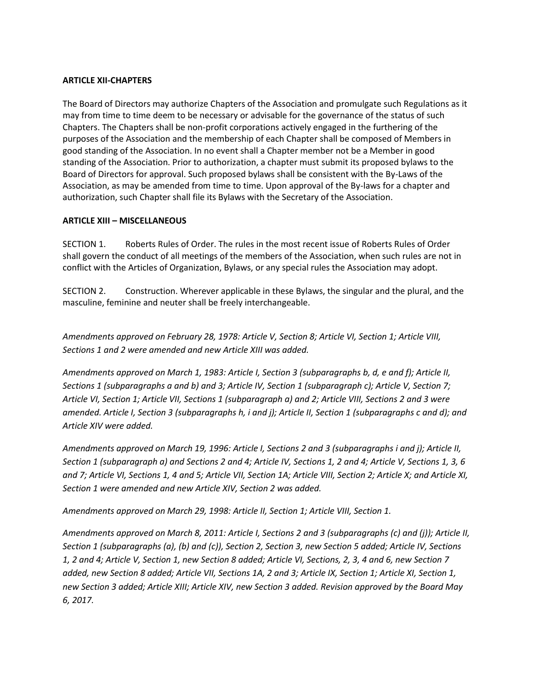#### **ARTICLE XII-CHAPTERS**

The Board of Directors may authorize Chapters of the Association and promulgate such Regulations as it may from time to time deem to be necessary or advisable for the governance of the status of such Chapters. The Chapters shall be non-profit corporations actively engaged in the furthering of the purposes of the Association and the membership of each Chapter shall be composed of Members in good standing of the Association. In no event shall a Chapter member not be a Member in good standing of the Association. Prior to authorization, a chapter must submit its proposed bylaws to the Board of Directors for approval. Such proposed bylaws shall be consistent with the By-Laws of the Association, as may be amended from time to time. Upon approval of the By-laws for a chapter and authorization, such Chapter shall file its Bylaws with the Secretary of the Association.

#### **ARTICLE XIII – MISCELLANEOUS**

SECTION 1. Roberts Rules of Order. The rules in the most recent issue of Roberts Rules of Order shall govern the conduct of all meetings of the members of the Association, when such rules are not in conflict with the Articles of Organization, Bylaws, or any special rules the Association may adopt.

SECTION 2. Construction. Wherever applicable in these Bylaws, the singular and the plural, and the masculine, feminine and neuter shall be freely interchangeable.

*Amendments approved on February 28, 1978: Article V, Section 8; Article VI, Section 1; Article VIII, Sections 1 and 2 were amended and new Article XIII was added.* 

*Amendments approved on March 1, 1983: Article I, Section 3 (subparagraphs b, d, e and f); Article II, Sections 1 (subparagraphs a and b) and 3; Article IV, Section 1 (subparagraph c); Article V, Section 7; Article VI, Section 1; Article VII, Sections 1 (subparagraph a) and 2; Article VIII, Sections 2 and 3 were amended. Article I, Section 3 (subparagraphs h, i and j); Article II, Section 1 (subparagraphs c and d); and Article XIV were added.* 

*Amendments approved on March 19, 1996: Article I, Sections 2 and 3 (subparagraphs i and j); Article II, Section 1 (subparagraph a) and Sections 2 and 4; Article IV, Sections 1, 2 and 4; Article V, Sections 1, 3, 6 and 7; Article VI, Sections 1, 4 and 5; Article VII, Section 1A; Article VIII, Section 2; Article X; and Article XI, Section 1 were amended and new Article XIV, Section 2 was added.* 

*Amendments approved on March 29, 1998: Article II, Section 1; Article VIII, Section 1.* 

*Amendments approved on March 8, 2011: Article I, Sections 2 and 3 (subparagraphs (c) and (j)); Article II, Section 1 (subparagraphs (a), (b) and (c)), Section 2, Section 3, new Section 5 added; Article IV, Sections 1, 2 and 4; Article V, Section 1, new Section 8 added; Article VI, Sections, 2, 3, 4 and 6, new Section 7 added, new Section 8 added; Article VII, Sections 1A, 2 and 3; Article IX, Section 1; Article XI, Section 1, new Section 3 added; Article XIII; Article XIV, new Section 3 added. Revision approved by the Board May 6, 2017.*